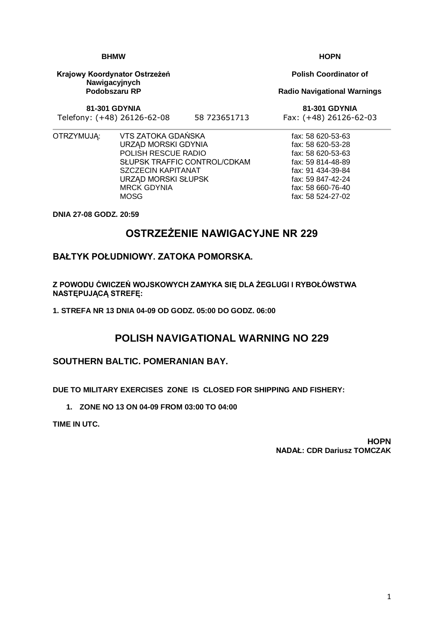1

## **BHMW**

**Krajowy Koordynator Ostrzeżeń Nawigacyjnych Podobszaru RP**

**81-301 GDYNIA**

Telefony: (+48) 26126-62-08 58 723651713 Fax: (+48) 26126-62-03

- 
- OTRZYMUJĄ: VTS ZATOKA GDAŃSKA URZĄD MORSKI GDYNIA POLISH RESCUE RADIO SŁUPSK TRAFFIC CONTROL/CDKAM SZCZECIN KAPITANAT URZĄD MORSKI SŁUPSK MRCK GDYNIA **MOSG**

**DNIA 27-08 GODZ. 20:59**

# **OSTRZEŻENIE NAWIGACYJNE NR 229**

### **BAŁTYK POŁUDNIOWY. ZATOKA POMORSKA.**

**Z POWODU ĆWICZEŃ WOJSKOWYCH ZAMYKA SIĘ DLA ŻEGLUGI I RYBOŁÓWSTWA NASTĘPUJĄCĄ STREFĘ:**

**1. STREFA NR 13 DNIA 04-09 OD GODZ. 05:00 DO GODZ. 06:00**

## **POLISH NAVIGATIONAL WARNING NO 229**

### **SOUTHERN BALTIC. POMERANIAN BAY.**

**DUE TO MILITARY EXERCISES ZONE IS CLOSED FOR SHIPPING AND FISHERY:**

**1. ZONE NO 13 ON 04-09 FROM 03:00 TO 04:00**

**TIME IN UTC.**

#### **HOPN NADAŁ: CDR Dariusz TOMCZAK**

**Polish Coordinator of**

**Radio Navigational Warnings**

**81-301 GDYNIA**

fax: 58 620-53-63 fax: 58 620-53-28 fax: 58 620-53-63 fax: 59 814-48-89 fax: 91 434-39-84 fax: 59 847-42-24 fax: 58 660-76-40 fax: 58 524-27-02

**HOPN**